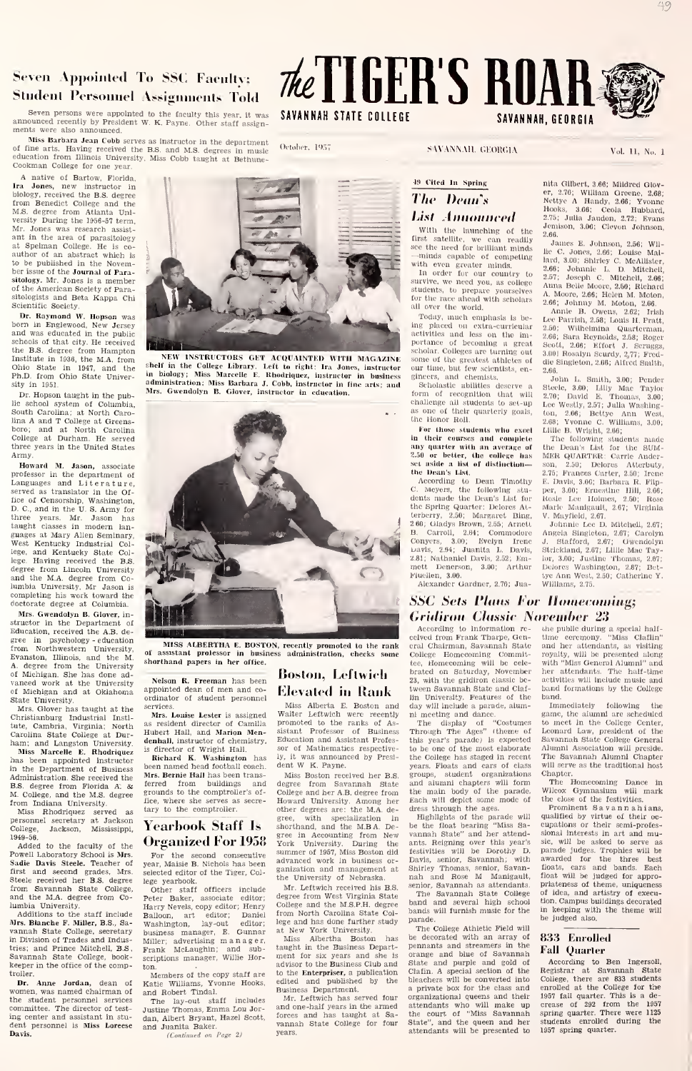# Seven Appointed To SSC Facultv: **Student Personnel Assignments Told**

Seven persons were appointed to the faculty this year, it was **SAVANNAH STATE COLLEGE**<br>announced recently by President W. K. Payne. Other staff assign-<br>ments were also announced.

Miss Barbara Jean Cobb serves as instructor in the department amnounceal received the method method in music method with the department<br>
Miss Barbara Jean Cobb serves as instructor in the department<br>
of fine arts. Having received the B.S. and M.S. degrees in music<br>
education from Ill

A native of Bartow, Florida. Ira Jones, new instructor in biology, received the B.S. degree from Benedict College and M.S. degree from Atlanta Uni-<br>versity During the 1956-57 term,<br>Mr. Jones was research assist-<br>ant in the area of parasitology<br>at Spelman College. He is co-<br>author of an abstract which is author of an approximation in the Novembe published in the Novemsitology. Mr. Jones is a member of the American Society of Parasitologists and Beta Kappa Chi Scientific Society,

Dr. Raymond W. Hopson was born in Englewood, New Jersey and was educated in the public schools of that city. He received the B.S. degree from Hampton<br>Institute in 1938, the M.A. from<br>Ohio State in 1947, and the shelf<br>Ph.D. from Ohio State Univer- in b sity in 1951,

Dr. Hopson taught in the publie school system of Columbia<br>South Carolina: at North Caro-South Carolina; at North Caro-lina A and T College at Greens-boro; and at North Carolina College at Durham. He served three years in the United States Army.

Howard M. Jason, associate professor in the department of Languages and Literature, served as translator in the Of-fice of Censorship, Washington. D. C, and in the U. S, Army for three years. Mr. Jason has taught classes in modern lan guages at Mary Allen Seminary, West Kentucky Industrial College, and Kentucky State Col-<br>lege. Having received the B.S. and the M.A. degree from Co-<br>lumbia University, Mr. Jason is completing his work toward the doctorate degree at Columbia.

Mrs. Gwendolyn B. Glover, in structor in the Department of Education, received the A.B. de gree in psychology - education from Northwestern University, of<br>Evanston, Illinois, and the M. shor A. degree from the University<br>of Michigan, She has done ad-<br>vanced work at the University<br>of Michigan and at Oklahoma appo

State University, Mrs. Glover has taught at the Christianburg Industrial Insti-<br>tute, Cambria, Virginia; North <sup>as i</sup><br>Carolina State College at Dur- <sup>Hub</sup> ham; and Langston University. aen<br>Miss Marcelle E, Rhodriquez <sup>is d</sup>

has been appointed instructor **h**<br>in the Department of Business bee Administration. She received the B.S. degree from Florida A: & M. College, and the M.S. degree

from Indiana University. Miss Rhodriquez served as personnel secretary at Jackson<br>College, Jackson, Mississippi,  $\mathbf{Y} \boldsymbol{\epsilon}$ 1949-56. Added to the faculty of the Organized For 1958

Powell Laboratory School is Mrs. Sadie Davis Steele. Teacher of first and second grades, Mrs. <sub>sele</sub><br>Steele received her B.S. degree lege from Savannah State College, O<br>and the M.A. degree from Co- Pet

lumbia University.<br>
Additions to the staff include Ball<br>
Mrs. Blanche F. Miller, B.S., Sa- van<br>
vannah State College, secretary<br>
in Division of Trades and Indus-<br>
tries; and Prince Mitchell, B.S. Fra<br>
Fra Savannah State College, keeper in the office of the comptroller.

Dr. Anne Jordan, dean of Katie Williams, Yv<br>omen, was named chairman of and Robert Tindal. women, was named chairman of the student personnel services committee. The director of test- ing center and assistant in stu- darector of test- ing center and assistant in stu-Davis.

(Continued on Page 1)

Members of the copy staff are Katie Williams, Yvonne Hooks,

ton.

shorthand papers in her office.

Mrs. Bernie Hall has been trans

Yearbook Staff Is

selected editor of the Tiger, College vearbook.

Nelson R. Freeman has been appointed dean of men and coordinator of student personnel Mrs. Louise Lester is assigned as resident director of Camilla Hubert Hall, and Marion Mendenhall, instructor of chemistry,

Boston, Leflwicli Elevated in Rank

Miss Alberta E. Boston and day<br>Walter Leftwich were recently nin<br>promoted to the ranks of As- Ti sistant Professor of Business Thi<br>Education\_and\_Assistant\_Profes- this sor of Mathematics respectively, it was announced by Presi- dent W. K. Payne. is director of Wright Hall. Richard K. Washington has been named head football coach.

Miss Boston received her B.S. degree from Savannah State College and her A.B. degree from Howard University. Among her other degrees are; the M.A. degree, with specialization in Wearbook Staff Is shorthand, and the MBA. De-<br>Organized For 1958 yere in Accounting from New Vann<br>Wear the second consequiting summer of 1967, Miss Boston did testive<br>New the second consequiting summer of 1967, Miss Boston ferred from buildings and grounds to the comptroller's of-fice, where she serves as secre- tary to the comptroller. For the second consecutive year. Maisie B. Nichols has been advanced work in business ganization and management at the University of Nebraska.

lege yearbook.<br>Other staff officers include  $\lambda$ Peter Baker, associate editor; <sup>degr</sup><br>Harry Nevels, copy editor; Henry <sup>Colle</sup> Marced work in business or-<br>
Ranization and management at Shir<br>
the University of Nebraska.<br>
Mr. Leftwich received his B.S.<br>
degree from West Virginia State<br>
College and the M.S.P.H. degree band from North Carolina State College and has done further study

Balloon, art editor; Daniel IVom<br>Washington, lay-out editor; bege a<br>business manager, E. Gunnar at Ne<br>Miller; advertising manager, Miss<br>Frank McLaughin; and sub-<br>taughing manager, Willie Hor- ment at New York University. The Miss Albertha Boston has be taught in the Business Depart-<br>taught in the Business Depart- pent<br>ment for six years and she is advisor to the Business Club and Stat to the Enterpriser, a publication edited and published by the Business Department.

and Robert Tindal. The lay-out staff includes Justine Thomas. Emma Lou Jor dan, Albert Bryant, Hazel Scott, and Juanita Baker Mr. Leftwich has served four and one-half years in the armed forces and has taught at Sa forces and has taught at Sa-<br>vannah State College for four years.

## 49 Cited In Spring The Dean's <sub>a</sub> List Announced = 2,76;

With the launching of the  $\frac{2.66}{1}$ <br>first satellite, we can readily

sec the need for brilliant minds<br>
-minds capable of competing lard<br>
with even greater minds,<br>
In order for our country to 2.67<br>
anywhe, we need you, as college share<br>
students, to prepare yourselves for the race ahead with scholars 2.6<br>all over the world,

Today, much omphasis is be-<br>ing placed on extra-curricular 2.5 activities and less on the im- 2.64<br>portance of becoming a great Sec scholar, Colleges are turning out  $_{\rm die}$ <br>some of the greatest athletes of  $_{\rm die}$ <br>our time, but few scientists, en-  $_{\rm 2.66}$ 

gineers, and chemists.<br>Scholastic ubilities deserve a gr form of recognition that will  $_{2,\text{c}}$ <br>challenge all students to set-up  $_{1,\text{c}}$ <br>as one of their quarterly goals,  $_{1,\text{c}}$ the Honor Roll.<br>For those students who excel

For those students who excel<br>in their courses and complete<br>any quarter with an average of the<br>2.50 or better, the college has ME<br>set aside a list of distlnction— some<br>the Dean's List.

According to Dean Timothy C. Meyers, the following stu- dents made the Dean's List fur the Spring Quarter: Dolores Atterberry, 2.50; Margaret Bing, V. 1<br>260; Gladys-Brown, 2.55; Arnett - J<br>B. Carroll, 2.64; Commodore Ang Conyers, 3.00; Evelyn Irene J.<br>Davis, 2.64; Juanita L. Davis, Str<br>2.81; Nathaniel Davis, 2.52; Em- lor, mett Denerson, 3.00; Arthur I'lucllen, 3,00. Alexander Gardner, 2,70; Jua-

nita Gilbert, 3,66; Mildred Glov-<br>er, 2,70; William Greene, 2,68;<br>Nettye A Handy, 2,66; Yvonne<br>Hooks, 3,66; Ceola Hubbard,<br>2,75; Julia Jaudon, 2,72; Evans Jemison, 3.06; Clevon Johnson,

2,66. Janies E. Johnson, 2.56; Willie C. Jones, 2.66; Louise Mal-lard, 3.00: Shirley C. McAllister, 2.06: Johnnie L, D, Mitchell, 2,57; Joseph C. Mitchell. 2,66; Anna Belle Moore, 2,50; Richard A, Moore, 2.60; Helen M, Moton, 2.06; Johnny M. Moton, 2,06, Annie B. Owens, 2,62; Irish

Lee Parrish, 2,58; Louis II. Pratt,<br>2,50; Wilhelmlna Quarterman,<br>2,60; Sara Reynolds, 2,58; Roger<br>Scott, 2.66; Effort J. Scruggs,<br>3,001 Rosalyn Scurdy, 2,77; Freddie Singleton, 2.66; Alfred Smith,

2.60. John L. Smith, 3.00; Pender Steele, 3.00; Lilly Mae Taylor<br>2.70; David E. Thomas, 3.00;<br>Lee Westly, 2.57; Julia Washington, 2.66; Bettye Ann West, 2.08; Yvonne C. Williams, 3.00; Llllle B, Wright, 2.00;

The following students made<br>the Dean's List for the SUM-<br>MER QUARTER: Carrie Anderson, 2.50; Delores Atterbuty,<br>2.75; Frances Carter, 2.50; Irene<br>E. Davis, 3.00; Barbara R. Flip-<br>per, 3.00; Ernesthne Hill, 2.66;<br>Rose Lee Holmes, 2.50; Rose<br>Marle Manlgault, 2.67; Virginia<br>Marle Manlgault, 2.67; Virginia V. Mayl'lekl, 2,07.

Johnnie Lee D. Mitchell, 2.67; Angela Singleton, 2.07; Carolyn J, Stafford, 2.07; Gwendolyn Strickland, 2,67; Llllle Mae Taylor, 3.00; Justine Thomas, 2.87;<br>Delores Washington, 2.87; Bet-<br>tye Ann West, 2.50; Catherine Y. Williams, 2.75

# **SSC Sets Plans For Homecoming:**

MISS ALBERTHA E. BOSTON, recently promoted to the rank cral<br>of assistant professor in business administration, checks some Colle According to Information re-<br>ecived from Frank Tharpe, Gen- tim<br>cral Chairman, Savannah State<br>College Homecoming Commit- roy tee, Homecoming will be cele- with<br>brated on Saturday, November her 23, with the gridiron classic be- activities will include music and tween Savannah State and Claf- band formations by the College tween Savannah State and Claf-lln University, Features of the day will Include a parade, alum-

ni meeting and dance.<br>Through The Ages" (theme of to<br>this year's parade) Is expected Sav<br>to be one of the most elaborate Alum<br>to be one of the most elaborate Alum Through The Ages" (theme of Lec<br>this year's parade) is expected Sava<br>to be one of the most elaborate Alu<br>the College has staged in recent The<br>years. Floats and cars of class will years. Floats and cars of class will served and cars of class will served and cars of class will served groups, student organizations Chapters will form The main chapters will form The main body of the parade. Will form The form of the dress through the ages.

Highlights of the parade will qua<br>be the float bearing "Miss Sa- cup vannah State" and her attendants. Reigning over this year's festivities will be Dorothy D. Davis, senior, Savannah; with awa<br>Shirley Thomas, senior, Savan- fioa<br>nah and Rose M Manigault, fioa nah and Rose me manus assumed as attendants. The Savannah State College band and several high school bands will furnish music for the parade.

The College Athletic Field will be decorated with an array of 83;<br>pennants and streamers in the<br>orange and blue of Savannah<br>State and purple and gold of Ac Clafin. A special section of the bleachers will be converted into a private box for the class and enrolled at the College for the organizational queens and their attendants who will make up the court of "Miss Savannah State", and the queen and her attendants will be presented to

**Gridiron Classic November 23**<br>According to Information re- the public during a special halfthe public during a time ceremony. "Miss Claflin"<br>and her attendants, as visiting<br>royalty, will be presented along with "Miss General Alumni" and with "Miss General Alumni" and<br>her attendants. The half-time<br>activities will include music and<br>band formations by the College<br>band.

Immediately following the game, the alumni are scheduled to meet In the College Center, Leonard Center, Leonard Center, Leonard Law, president of the Savannah State College General<br>Savannah State College General<br>Leonard Law, president of the<br>Savannah State College General Alumni Association will preside. The Savannah Alumni Chapter will serve as the traditional host

Chapter. The Homecoming Dance in Wilcox Gymnasium will mark the close of the festivities.

Prominent Savannahi ans, qualified by virtue of their oc- cupations or their semi-profes-sional interests in art and music, will be asked to serve parade judges. Trophies will be<br>awarded for the three best<br>floats, cars and bands. Each<br>float will be judged for appropriateness of theme, uniqueness of idea, and artistry of execution Campus buildings decorated in keeping with the theme will be judged also.

### 8.33 Enrolled Fall Quarter

According to Ben Ingersoll, Registrar at Savannah State College, there are 833 students Registrar at Savannah State<br>College, there are 833 students<br>enrolled at the College for the<br>1957 fall quarter. This is a de-<br>crease of 292 from the 1957<br>spring quarter. There were 1125<br>students enrolled during the<br>1957 spr

NEW INSTRUCTORS GET ACQUAINTED WITH MAGAZINE

shelf in the College Library. Left to right: Ira Jones, instructor our<br>in biology; Miss Marcelle E. Rhodriquez, instructor in business gline<br>administration; Miss Barbara J. Cobb, instructor in fine arts; and Sc Mrs. Gwendolyn B. Glover, instructor in education.

(Vtolu-r. l').'i



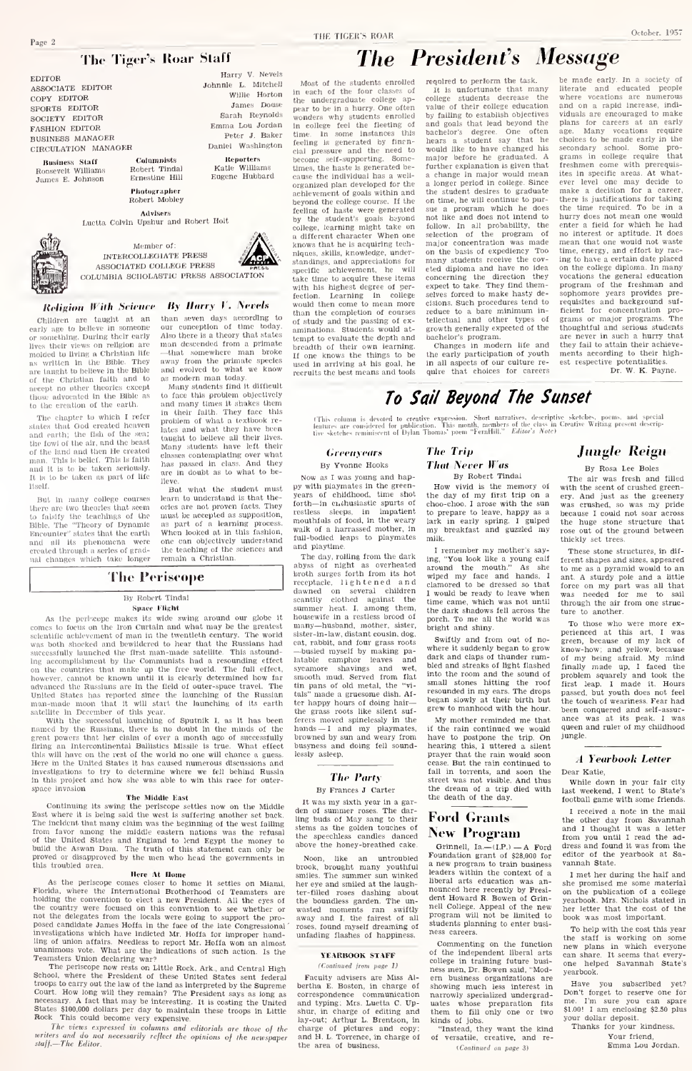## The Tiger's Roar Staff

EDITOR ASSOCIATE EDITOR COPY EDITOR SOCIETY EDITOR **FASHION EDITOR BUSINESS MANAGER** CIRCULATION MANAGER

**Business Staff** Busidess Statf<br>Roosevelt Williams<br>James E. Johnson

Ernestine Hill Photographer

Robert Mobley Mombar of:

Columnists<br>Robert Tindal

Advisers<br>Luctta Colvin Upshur and Robert Holt



INTERCOLLEGIATE PRESS ASSOCIATED COLLEGE PRESS COLUMBIA SCHOLASTIC PRESS ASSOCIATION

## **Religion With Science By Harry V. Nevels**

Children are taught at an to believe in someone early age or something. During their early lives their views on religion are<br>molded to living a Christian life as written in the Bible. They as written in the Bible. They<br>are taught to believe in the Bible<br>of the Christian faith and to<br>accept no other theories except<br>those advocated in the Bible as to the evention of the earth.

The chapter to which I refer<br>states that God created heaven and earth; the fish of the sen;<br>the fowl of the air, and the beast of the land and then He created man. This is belief. This is faith<br>and it is to be taken seriously. It is to be taken as part of life

But in many college courses there are two theories that seem to faistly the teachings of the<br>Bible. The "Theory of Dynamic<br>Encounter" states that the earth and all its phenomena were<br>created through a series of gradual changes which take longer than seven days according to<br>our conception of time today. Also there is a theory that states<br>man descended from a primate -that somewhere man broke<br>away from the primate species<br>and evolved to what we know ng evolved to what we know<br>s modern man today.<br>Many stadents find it difficult

Harry V. Nevels

Jomes Dogs

Sarah Reynolds

Peter J. Baker

Emma Lou Jordan

Daniel Washington

Reporters<br>Katle Williams<br>Eugene Hubbard

Johnnie L. Mitchell

to face this problem objectively in the face the<br>may time it shakes then include in their faith. They face this<br>problem of what a textbook relation lates and what they have been<br>tanged to believe all their lives. Many stu to form this arablem objectively has passed in class. And they Hove

But what the student must learn to understand is that thefearn to understand is that the-<br>ories are not proven facts. They<br>must be accepted as supposition,<br>as part of a learning process.<br>When looked at in this fashlon, one can objectively understand the teaching of the sciences and<br>remain a Christian.

## **The Periscope**

## By Robert Tindal

Space Flight

As the periodic makes its wide swing around our globe it comes to focus on the from Curtain and what may be the greatest scheniffic achievement of man in the twentleth century. The world<br>was both shocked and bewildered to hear that the Russians had was both snowled aim freewaters to near make ine retissions has a<br>successfully isunched the first man-made satellite. This astomatement<br>of the Communists had a resonanding effection on the countries that make up the free w

advanced the Russians are in the field of outer-space travel. The conditional valid of the Russian and Sunday and Sunday and Sunday and Sunday and Sunday and Sunday and Sunday and Sunday and Sunday and Sunday and Sunday a space invasion

### The Middle East

Continuing its swing the periscope settles now on the Middle<br>t where it is being said the west is suffering another set back. The incident that many claim was the beginning of the west falling<br>from favor among the middle eastern nations was the refusal<br>of the United States and England to lend Egypt the money to build the Aswan Dam. The truth of this statement can only be proved or disapproved by the men who head the governments in this troubled area.

this troubled orea.<br>
Note per some the settles on Minni and the period of the period of the<br>  $\sim$  10  $\mu$  m and the period of the settles<br>
and the set of the settles of the set of the set of the set of the<br>
model of the c

Investigations which have indiced Mr. Hoffa for improper hand-<br>integrations which have indicated Mr. Hoffa for improper hand-<br>remainders Uncertainty and monod the model of the model of the particle<br>of the particle of the

The views expensive.<br>The views of the views and do not necessarily reflect the opinions of the newspaper<br>staff.—The Editor.

THE TIGER'S ROAR

# **The President's Message**

recoired to perform the task

Most of the students enrolled<br>in each of the four classes of<br>the undergraduate college apnear to be in a hurry. One often pear to be in a hurry. One often<br>wonders why students enrolled<br>In college feel the fleeting of<br>time. In some instances this<br>feeling is generated by flucence<br>feeling is generated by flucence<br>become set supporting. Some-<br>bec cause the individual has a well organized plan developed for the achievement of goals within and heyond the college course. If the beyond the college course. It the<br>feeling of haste were generated<br>by the student's goals beyond<br>college, learning might take on<br>a different character When one<br>knows that he is acquiring techniows that he is acquiring teen<br>niques, skills, knowledge, under-<br>standings, and appreciations for specific achievement, he  $111$ take time to acquire these items with his highest degree of perfection. Learning in college<br>would then come to mean more would then come to mean noise<br>of study and the passing of examinations. Studients would at-<br>aminutions. Studients would at-<br>tempt to evaluate the depth and<br>breadth of their own learning. If one knows the things to be used in arriving at his goal, he<br>recruits the best means and tools

It is unfortunate that many<br>college students decrease the<br>value of their college education by failing to establish objectives and goals that lead beyond the<br>bachelor's degree. One often<br>hears a student say that he would like to have changed his<br>major before he graduated. A<br>further explanation is given that a change in major would mean<br>a longer period in college. Since the student desires to graduate on time, he will continue to pur- $\frac{1}{2}$ a program which he does sue a program winch the dots not like and does not intend to<br>follow. In all probability, the<br>selection of the program of major concentration was made<br>on the basis of expediency Too on the basis of expediency Too<br>many students receive the cov-<br>eted diploma and have no idea concerning the direction they<br>expect to take. They find them-<br>selves forced to make hasty deelatons. Such procedures tend to<br>reduce to a bare minimum in-<br>tellectual and other types of growth generally expected of the hachelor's program.

bachelors program.<br>Changes in modern life and<br>the early participation of youth in all aspects of our culture re-

 $\begin{tabular}{p{0.875\textwidth}} \textbf{b} & \textbf{B} & \textbf{on} \\ \textbf{b} & \textbf{b} & \textbf{c} \\ \textbf{b} & \textbf{b} & \textbf{c} \\ \textbf{c} & \textbf{b} & \textbf{c} \\ \textbf{d} & \textbf{c} & \textbf{c} \\ \textbf{e} & \textbf{c} & \textbf{c} \\ \textbf{f} & \textbf{c} & \textbf{c} \\ \textbf{f} & \textbf{c} & \textbf{c} \\ \textbf{f} & \textbf{c} & \textbf{c} \\ \textbf{f} & \textbf{c} &$ enter a field for which he had no interest or aptitude. It does mean that one would not waste<br>time, energy, and effort by racing to have a certain date placed<br>on the college diploma. In many<br>vocations the general education program of the freshman and program of the freshman and<br>sophomore years provides pre-<br>requisites and background sufrequisites and background on-<br>ficient for concentration pro-<br>grouns or major programs. The shoughtful and serious students<br>are never in such a hurry that<br>they fail to attain their achievements according to their high-<br>est respective potentialities. Dr. W. M. Boune

October, 1957

To Sail Beyond The Sunset (This column is devoted to creative expression. Short narratives, descriptive sketches, poems, and special<br>leatures are considered for publication. This nomb, members of the class in Creative Writing present description<br>li

## **Greenyears**

## By Yvonne Hooks

Now as I was young and happy with playmates in the green-<br>years of childhood, time shot<br>forth—in enchusiastic spurts of restless sleeps, in impatient mouthfuls of food, in the weary<br>walk of a harrassed mother, in full-hodied leaps to playmates and playtime

and playune.<br>The days of night as overheated<br>broth surges forth from its hot<br>receptacle, lightened and dawned on several children<br>scantily clothed against the<br>summer heat. I, among them, honequite in a restless broad of many-husband, mother, sister, sister-in-law, distant cousin, dog. east, rabbit, and four grass roots<br>busied myself by making pa--ousieu mysen by making particularly<br>latable camphor leaves and<br>sycamore shavings and wet,<br>smooth mid. Served from flat<br>this pans of old metal, the "vi-<br>tals" made a gruesome dish. Afthe happy hours of doing hair—<br>the grass roots like silent sufferers moved spinelessly in the  $h$  and  $h$  and  $m$  playmates,<br>browned by sun and weary from<br>busyness and doing fell soundомаунсь» апо<br>lessly asleep,

## **The Party**

### By Frances J Carter

It was my sixth year in a garden of summer roses. The dar-<br>ling buds of May sang to their stems as the golden touches of<br>the speechless candles danced above the honey-breathed cake

Noon, like an untroubled<br>brook, brought many youthful<br>smiles. The summer sun winked<br>her eye and smiled at the laughter-filled filled roses dashing about<br>boundless garden. The unthe wasted moments ran swiftly<br>away and I, the fairest of all<br>roses, found myself dreaming of unfading flashes of happine

### **YEARBOOK STAFF**

(Continued from page 1)

Faculty advisers are Miss Al-<br>bertha E. Boston, in charge of berum E. Boston, in charge of<br>correspondence communication<br>and typing; Mrs. Luetta C. Up-<br>shur, in charge of editing and<br>lay-out; Arthur L. Brentson, in<br>charge of pictures and copy;<br>and H. L. Torrence, in charge of the area of business

How vivid is the memory of the day of my first trip on a<br>choo-choo. I arose with the sun to prepare to leave, happy as a to prepare to leave, happy as a<br>lark in early spring. I gulped<br>my breakfast and guzzled my  $\frac{1}{2}$ 

I remember my mother's say I remember my mother's saying, "You look like a young calf<br>around the mouth." As she<br>wiped my face and hands, I clamored to be dressed so that<br>I would be ready to leave when<br>time came, which was not until the dark shadows fell across the porch. To me all the world was bright and shiny.

Swiftly and from out of no where it suddenly began to grow dark and claps of thunder rum-<br>bled and streaks of light flashed bied and streaks of light mashed<br>into the room and the sound of<br>small stones hitting the roof<br>resounded in my ears. The drops<br>began slowly at their birth but<br>grew to manhood with the hour.

My mother reminded me that if the rain continued we would have to postpone the trip. On<br>hearing this, I uttered a silent<br>prayer that the rain would soon cease. But the rain continued to fall in torrents, and soon the<br>street was not visible. And thus the dream of a trip died with<br>the death of the day.

## Ford Grants New Program

Grinnell, Ia.— $(I.P.)$  — A Ford<br>Foundation grant of \$28,000 for Foundation grant of 328,000 for<br>a new program to train business<br>leaders within the context of a<br>liberal arts education was an-<br>nonnced here recently by Presi-<br>dent Howard R. Bowen of Grinnell College. Appeal of the new students planning to enter business careers.

Commenting on the function of the independent liberal arts<br>college in training future business men, Dr. Bowen said, "Modreso men, Dr. Bowen against one and showing much less interest in narrowly specialized undergradmates whose preparation fits<br>them to fill only one or two<br>kinds of jobs. Instead, they want the kind

of versatile, creative, and re-(Continued on nage 3)

## **Jungle Reign**

By Rosa Lee Boles The air was fresh and filled with the scent of crushed greenery. And just as the greenery<br>was crushed, so was my pride because I could not soar across<br>the huge stone structure that<br>rose out of the ground between thickly set trees.

These stone structures, in different shapes and sizes, appeared<br>to me as a pyramid would to an ant. A sturdy pole and a little<br>force on my part was all that<br>was needed for me to sail through the air from one structure to another.

our wombush.<br>To those who were more ex-<br>perienced at this art, I was<br>green, because of my lack of<br>know-how; and yellow, because<br>finally made up. I faced the<br>first lean I made it Hours<br>first lean I made it Hours first leap. I made it. Hours<br>passed, but youth does not feel<br>the touch of weariness. Fear had been conquered and self-assurance was at its peak. I was<br>queen and ruler of my childhood jungle

### **4 Yearbook Letter** Dear Katie.

While down in your fair city last weekend. I went to State's football game with some friends.

I received a note in the mail I receiver a note in the main and I thought it was a letter<br>from you until I read the advertised<br>dress and found it was from the<br>editor of the yearbook at Savannah State

I met her during the half and she promised me some material<br>on the publication of a college on the publication of a conege<br>yearbook. Mrs. Nichols stated in<br>her letter that the cost of the<br>book was most important.

To help with the cost this year the staff is working on some<br>new plans in which everyone<br>can share. It seems that every $one$ helped Savannah State's yearbook

Have you subscribed yet?<br>Don't forget to reserve one for bont torget to reserve one for<br>me. I'm sure you can spare<br>\$1.00! I am enclosing \$2.50 plus<br>your dollar deposit.<br>Thanks for your kindness.

Your friend,<br>Emma Lou Jordan.

**The Trin That Never Was** By Robert Tindal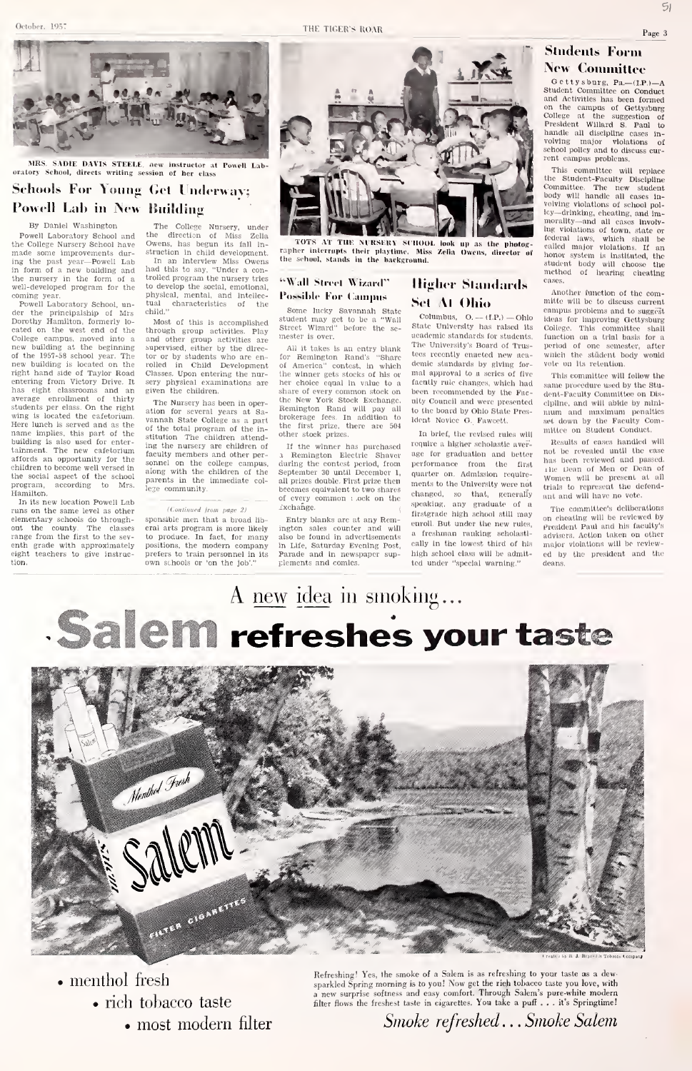By Daniel Washington Powell Laboratory School and the College Nursery School have

der the principalship of l<br>Dorothy Hamilton, formerly

wing is located the cafetorium.

affords an opportunity for the

program, according to Mrs. Hamilton.<br>In its new location Powell Lab

tion.



## Students Form New (Committee

O et tys burg, Pa\_-(IP.)--A<br>student Committee on Conduct<br>and Activities has been formed<br>on the campas of Gettysburg<br>oblege at the suggestion of<br>President Willard S. Paul to<br>handle all discipline cases in-<br>handle all discip

This committee will replace the Student-Faculty Discipline Committee. The new student body will handle all cases In volving violations of school policy drinking, cheating, and Im-morality— and all cases Involv-ing violations of town, state or federal laws, which shall be culled major violations. If an lionor system Is Instituted, the student body will choose the method of hearing cheating cases.

Another function of the committe will be to discuss current campus problems and to suggest Ideas for Improving Gettysburg College. This committee shall function on a trial basis for a period of one semester, after<br>which the stüdent body would vote on a Usin committee standard function on a Uril basis for a<br>period of one senester, after<br>which the stident body would<br>vote on Its retention.<br>This committee will follow the

same procedure used by the Student-Faculty Committee on Discipline, and will abide by mini mum an<l maximum penalties set down by the Faculty Com-mittee on Student Conduct.

Results of cases handled will not be revealed until the case has been reviewed and passed, ihe Dean of Men or Dean of The Dean of Men or Dean of<br>
Women will be present at all<br>
trials to represent the defend-<br>
ant and will have no vote.<br>
The committee's deliberations

on cheating will be reviewed by<br>President Paul and his faculty's<br>advisers. Action taken on other<br>major vlolations will be review-<br>ed by the president and the<br>deans.

The College Nursery, under the direction of Miss Zclia Owens, has begun its fall in-

MRS. SADIE DAVIS STEELE, new instructor at Powell Labdirects writing session of her class Schools For Young Get Underway; Powell Lab in New Building

made some improvements dur-ing the past year—Powell Lab in form of a new building and the nursery in the form of a well-developed program for the to coming year.<br>Powell Laboratory School, un-<br>Powell Laboratory School, un-<br>der the principalship of Mrs chile struction in child development. In an interview Miss Owens had this to say, "Under a controlled program the nursery tries<br>to develop the social, emotional,<br>physical, mental, and intellec-<br>tual characteristics of the<br>child."

cated on the west end of the College campus, moved into a new building at the beginning new building at the beginning supe<br>of the 1957-58 school year. The tor new building is located on the rolle<br>right hand side of Taylor Road Clas<br>entering from Victory Drive. It sery right hand side of Taylor Road Class<br>entering from Victory Drive. It sery<br>has eight classrooms and an give<br>average enrollment of thirty Ti<br>students per class. On the right atio Most of this is accomplished through group activities. Play <sup>Str</sup><br>and other group activities are <sup>the</sup><br>supervised, either by the director or by students who are en-<br>rolled in Child Development rolled in Child Development Classes. Upon entering the nur-sery physical examinations are given the children.

Here lunch is served and as the  $0.05$  of the name implies, this part of the  $0.01$ building is also used for enter-<br>tainment. The new cafetorium fac children to become well versed in  $\frac{1}{100}$ <br>the social aspect of the school  $\frac{1}{100}$ The Nursery has been in oper-<br>ation for several years at Sa-<br>vannah State College as a part<br>of the total program of the institution The children attending the nursery are children of I<br>faculty members and other per- 1 sonnel on the college campus, duri<br>along with the children of the Sep<br>parents in the immediate col- all j lege community.

### In its new location Powell Lab runs on the same level as other (Continued from page 2)

elementary schools do through-<br>
In its new location Powell Lab<br>
runs on the same level as other<br>
elementary schools do through-<br>
spot the county. The classes errange from the first to the sev-<br>
to enth grade with approximately eight teachers to give instrucsponsible men that a broad lib eral arts program is more likely<br>to produce. In fact, for many to produce. In fact, for many positions, the modern company prefers to train personnel in its own schools or 'on the job'."



TOTS AT THE NURSERY SCHOOL, look up as the photopher interrupts their playtime. Miss Zella Owens, director the sehool, stands in the background.

### "Wall Street Wiznel" Possible For Cammis

Some lucky Savannah State<br>student may get to be a "Wall correct Wizard" before the semester is over.

All it takes is an entry blank<br>for Remington Rand's "Share took<br>of America" contest, in which dem<br>the winner gets stocks of his or mal<br>her choice equal in value to a face share of every common stock on the New York Stock Exchange. Remington Rand will pay all <sub>to</sub><br>brokerage fees. In addition to <sub>1de</sub><br>the first prize, there are 504 other stock prizes.

If the winner has purchased <sup>i</sup> Remington Electric Shaver during the contest period, from Der contest period, from December 30 until December 1, all prizes double. First prize then becomes equivalent to two shares of every common ; .ock on the Exchange.

Entry blanks are at any Remington sales counter and will also be found in advertisements in Life, Saturday Evening Post, <sup>cat</sup><br>Parade and in newspaper sup- hig plements and comics.

## **Higher Standards** Set At Ohio

Columbus,  $Q = (EP)$  - Ohio State University has raised Its academic standards for students. The University's Board of Trustees recently enacted new aca-<br>denic the standards by giving for-<br>voice on its retention. demic standards by giving for-<br>where the releation.<br>mal approval to a series of five This committee will follow the mal approval to a scries of five facutly rule changes, which had been recommended by the Faculty Council and were presented to the board by Ohio State Pres been recommended by the Fac<br>ulty Council and were presented<br>to the board by Ohio State Pres<br>ident Novice G. Fawcett.<br>...

In brief, the revised rules will require a higher scholastic aver age for graduation and better performance from the first quarter on. Admission require ments to the University were not changed, so that, generally ant and will have no vote. speaking, any graduate of a The committee's deliberations firstgrade high school still may enroll But under the new rules, a freshman ranking seholastlcally in the lowest third of his major violations will be review-<br>high school class will be admit- ed by the president and the high school class will be admitted under "special warning."

# A new idea in smoking... Salem refreshes your taste **MFAG 33**



menthol fresh • rich tohacco taste

most modern filter

For the space of the small of the space of the space of the space of the space of the space of the space of the space of the space of the space of the space of the space of the space of the space of the space of the space

Smoke refreshed . . . Smoke Salem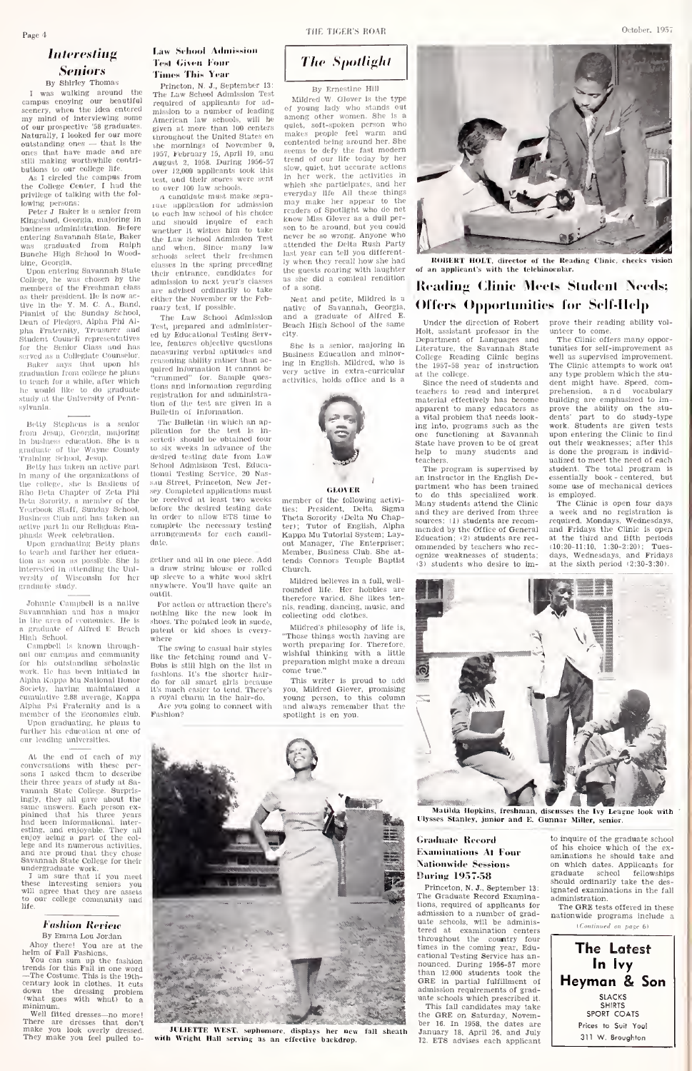## Interesting Seniors

### By Shirley Thomas

I was walking around the <sub>Th</sub><br>campus enoying our beautiful <sub>rec</sub> By Shirley Thomas<br>I was walking around the The<br>campus encying our beautiful Fequence<br>scenery, when the idea entered miss<br>my mind of interviewing some Ame of our pro.spe(rtlve '58 graduateH. Naturally, <sup>I</sup> looked for our more outstanding ones — that is the ones that have made and are the ones in the ones in the ones that have made and are  $\frac{105}{0.9}$ butions to our college life.

As I circled the campus from<br>As I circled the campus from<br>1e College Center, I had the the College Center, I had the <sub>to</sub><br>privilege of talking with the fol-

lowing persons:<br>Peter J. Baker is a senior from the r Kingsland, Georgia, majoring in<br>business administration. Before – <sub>wne</sub><br>entering Savannah State, Baker – <sub>the</sub> was graduated from Ralph <sub>and</sub><br>Bunche High School In Wood- <sub>scho</sub> bine, Georgia.

Upon entering Savannah State their entrance College, he was chosen by the  $\frac{1}{100}$  members of the Freshman class  $\frac{1}{100}$ enembers of the Freshman class<br>as their president. He is now ac-<br>tive in the Y. M. C. A., Band.<br>Pianist of the Sunday School, ran<br>Dean of Piedges, Alpha Phi Alpha Fraternity, Treasurer and Test<br>Student Council representatives ed t<br>for the Senior Class and has lee,

served as a Collegiate Counselor.<br>Baker says that upon his a coargate competer. graduation from college he plans. to teach for a while, after which<br>he would like to do graduate tion<br>study at the University of Penn- regi sylvania,

Betty Stephens is a senior From Jesup, Georgia, majoring pile<br>in hustness education. She is a sert<br>graduate of the Wayne County to s<br>Training School, Jesup. (ess) business education. She is a senature of the Wayne County to the Banding Sichool, Jesup. device part Science and the many of the organizations of the many of the organizations of

Betty has taken an active part<br>In many of the organizations of the college, she Is Basileus of Sau<br>Rho Beta Chapter of Zeta Phi - <sup>sey</sup> Beta Sorority, a member of the Poe<br>Yearbook Staff, Sunday School, Pol siness Club and has taken an active part In our Religious Em-phasis Week celebration,

Upon graduating Betty plans to teach and further her education as soon as possible. She is - 6<br>Interested In attending the Uni- - 9 versity (if Wisconsin for her graduate study.

Johnnie Campbell Is a native Savannahlan and has a major In the area of economics. He Is a gnuluate of Alfred E, Beach High School,

Campbell is known throughout our campus and community for his outstanding scholastic <sub>Buhr</sub><br>work. He has been initiated in <sub>-fash</sub><br>Alpha Kappa Mu National Honor - <sub>do</sub> Society, having maintained a 11/<sub>8 i</sub><br>cumulative 2.88 average. Kappa - a ro Alpha Psi Fraternity and is a Are you going to connect with member of the Economics club. Fashion? member of the Economics club. Fa<br>Upon graduating, he plans to<br>further his education at one of<br>our leading universities.

At the end of each of my  $\frac{1}{2}$  conversations with these per-  $\frac{1}{2}$  sons I asked them to describe At the end of each of my<br>conversations with these per-<br>sons I asked them to describe<br>their three years of study at Sa-<br>vannah State College. Surprisingly, they all gave about the<br>same answers. Each person ex-<br>plained that Inis three years<br>had been Informational, Inter-<br>esting, and enjoyable. They all<br>the col-<br>lege and Its numerous activities,

and are proud that they chose Savannah State College for their undergraduate work.<br>
I am sure that if you meet<br>
these Interesting seniors you<br>
will agree that they are assets<br>
to our college community and<br>
life.

### **Fashion Review** By Emma Lou Jordan

Ahoy there! You are at the helm of Fall Fashions.<br>Wou can sum up the fashions.

trends for this Fall in one word<br>—The Costume. This is the I9th-<br>century look in clothes. It cuts<br>down the dressing problem<br> $\frac{1}{2}$  (what goes with what) to a minimum.

Well fitted dresses—no more' There are dresses that don'l make you look overly dressed They make you feel pulled to-

### Law School Admission IVhl (iivni l'<»iir Times This Year

Princton, N. J., September 13;<br>The Law School Admission Test<br>required of applicants for adrequired of applicants for ad-<br>mission to a number of leading of young lady who stands American law schools, will be all<br>given at more than 100 centers - qui throughout the United States on the mornings of November 0, com<br>1957, February 15, April 19, and seem<br>August 2, 1958. During 1956-57 tren over 12,000 applicants took this and<br>test, and their scores were sent in to over 100 law schools.

ji candidate must make sopalau- application for admission that<br>to each law school of his choice and should Inquire of each kno wnether it wishes him to take some<br>the Law School Admission Test and<br>net when. Since many law stite<br>schools select their freshmen last<br>classes in the spring preceding by w their entrance, candidates for the<br>admission to next year's classes. as<br>are advised ordinarily to take. <sup>of</sup> either the November or the Feb-<br>raary test, 1f possible.

The Law School Admission and<br>Test, prepared and administer- Bes ed by Educational Testing Servra by Equestional results better city.<br>lee, features objective questions such a senior, majoring in measuring verbal aptitudes and ening ability rather than ac-(iulred Inlormatlon it cannot be "crammed" for. Sample ques- <sub>act</sub><br>tions and information regarding registration for and aduilnlstratlon of the test are given In a Bulletin of Information,

The Bulletin fin which an application for the test Is In- serted) should be obtained four to six weeks In advance of the desired testing date from Law School Admlslson Test, Educational Testing Service, 20 Nas-sau Street, Princeton, New Jersey, Completed applications must be received at least two weeks beiore the desired testing date In order to allow ETS time to (r)<br>| complete the necessary testing te<br>| arrangements for each candi- | K: date,

gether and all in one piece. Add a draw string blouse or rolled - C}<br>up sleeve to a white wool skirt anywhere, You'll have quite outfit.

For action or attraction there's nothing like the new look in  $_{\rm{col}}$ <br>shoes, The pointed look in suede,<br>patent, or kid shoes is everywhere.

The swing to casual hair styles like the fetching round and V- was<br>Bobs is still high on the list in Pre fashions. It's the shorter hair-<br>do for all smart girls because It's much easier to tend. There's you<br>a royal charm in the hair-do. Are you<br>Are you going to connect with  $\frac{1}{3}$ are you going to connect with  $\frac{1}{3}$ 



By Ernestine Hill

Mildred W. Glover is the type **By Ernesthe Hill**<br>Mildred W. Glover is the type<br>among lady who stands out<br>among other women. She is a<br>quiet, .soft-spoken person who<br>makes people feel warm and contented being around her. She seems to defy the fast modern trend of our life today by her slow, quiet, but accurate actions In her work, the activities in which she participates, and her<br>veryday life All these things<br>readers of Spotlight who de net<br>readers of Spotlight who de net<br>know Miss Glover as a dul per-<br>networ Miss Glover as a dul per-<br>astronome who were the state att the goests roaring with laughter of hast year can tell you different-<br>by when they recall how she had<br>the goests roaring with laughter<br>as she did a comical rendition<br>of a song.

Neat and petite, Mildred is a<br>native of Savannah, Georgia, and a graduate of Alfred E,<br>Beach High School of the same city.

She Is a senior, majoring in Liti<br>Business Education and minor-<br>Ing in English. Mildred, who is<br>very active in extra-curricular<br>activities, holds office and is a<br>s



GLOVER<sub></sub>

member of the following activities: President, Delta Sigma<br>Theta-Sorority (Delta-Nu Chap- sour<br>ter); Tutor of English, Alpha sour Church,

Mildred believes in a full, well rounded life. Her liobbies are therefore varied. She likes tenreading, dancing, music, and collecting odd clothes.

Mildred's philosophy of life is,<br>"Those things worth having are<br>worth preparing for. Therefore,<br>wishful thinking with a little<br>preparation might make a dream come true."<br>"This writer is mond to add

This writer is proud to add<br>you, Mildred Glover, promising<br>young person, to this column<br>and always remember that the<br>spotlight is on you.



ROBERT HOLT, director of the Reading Clinic, check of an applicant's with the telebinocolar.

## Reading Clinic Meets Studenl Needs; Offers Opportunities for Self-Help

Under the direction of Robert prove their reaching the company of the company of the company of the company of  $\frac{1}{2}$ Holt, assistant professor in the unte<br>Department of Languages and - Tl<br>Literature, the Savannah State - tuni College Reading Clinic begins the 1957-58 year of instruction

THE TIGER'S ROAR October. 1957

at the college. Since the need of students and teachers to read and interpret material effectively has become apparent to many educators as pre<br>a vital problem that needs look- der ing into, programs such as the worl<br>one functioning at Savannah upor<br>State have proven to be of great out help to many students and teachers.

actiers.<br>The program is supervised by an instructor in the English De- – esse<br>partment who has been trained – som to do this specialized work. is e<br>Many-students-attend-the-Clinic - T and they are derived from three sources: (1) students are recom- mended by the Office of General Education; (2) students are rec- – at<br>ommended by teachers who rec- – (1) ognize weaknesses of students; 13) students who desire to im-

prove their reading ability volunteer to come.<br>The Clinic offers many oppor-<br>tunities for self-improvement as

reer to come.<br>The Clinic offers many opportunities for self-improvement as well as supervised improvement. The Clinic attempts to work out any type problem which the stu-<br>dent might have. Speed, comprehension, and vocabulary<br>building are emphasized to im-<br>prove the ability on the stu-<br>dents' part to do study-type<br>work. Students are given tests upon entering the Clinic to find out their weaknesses; after this is done the program isindivid ualized to meet the need of each student. The total program isessentially book - centered, but

is employed. The Clinic is open four days a week and no registration is required. Mondays, Wednesdays. and Fridays the Clinic is open at the third and fifth periods<br>
10:20-11:10, 1:30-2:20); Tues-<br>
days. Wednesdays, and Fridays<br>
at the sixth period (2:30-3:30).



## Graduate Record Examinations At Four Nationwide Sessions During 1957-58<br>Princeton, N. J., September 13:

The Graduate Record Examin tions, required of applicants for rnneeton, N. J., September 13:<br>The Graduate Record Examina-<br>tions, required of applicants for<br>admission to a number of grad-<br>uate schools, will be administered at examination centers throughout the country four times in the coming year, Eduand schemation enters<br>throughout the country four<br>throughout the coming year, Edu-<br>restional Testing Service has an-<br>nounced. During 1956-57 more eational Testing Service has an-<br>nounced. During 1956-57 more<br>than 12,000 students took the than 12,000 students took the GRE in partial fulfillment of **club**<br>admission requirements of graduate schools which prescribed it.

This fall candidates may take the GRE on Saturday, November 16. In 1958, the dates are January 18, April 26. and July 12. ETS advises each applicant

to inquire of the graduate school of his choice which of the ex aminations he should take and on which dates. Applicants for graduate school fellowships<br>should ordinarily take the des-<br>ignated examinations in the fall administration.

The GRE tests offered in these nationwide programs include a  $(Continued on base 6)$ 

The Latesf-In ivy Heyman & Son SLACKS SHIRTS SPORT COATS Prices to Suit You! 311 W. Broughton

**Commercial** State of the

JULIETTE WEST, sophoni<br>h Wright Hall serving as fall sheath

Kappa Mu Tutorial System; Lay-<br>out Manager, The Enterpriser; m<br>Member, Business Club. She at-<br>tends Connors Temple Baptist<br>can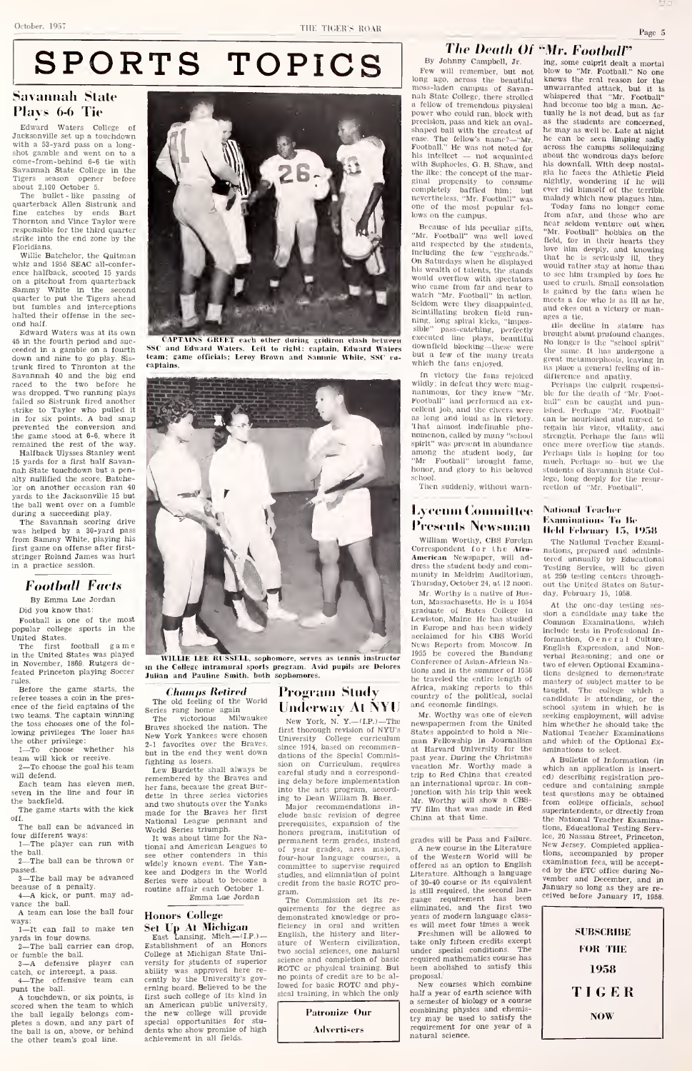THE TICER'S ROAR

SPORTS TOPICS

## Savannah Slate Plays 6-6 Tie

Edward Waters College of Jacksonville set up a touchdown with a 53-yard pass on a long-<br>shot gamble and went on to a<br>come-from-behind 6-6 tie with Savannah State College in the Tigers season opener before Savaturan state come

The bullet -like passing of quarterback Allen Sistrunk and fine catches by ends Bart Thornton and quarterback Allen Sistrunk and<br>time catches by ends Bart<br>Thornton and Vince Taylor were<br>Thornton and Vince Taylor were responsible for the third quarter strike into the end zone by the Floridians.

Willie Batchelor. the Quitman whiz and 1956 SEAC all-confer-<br>ence halfback, scooted 15 yards on a pitchout from quarterback<br>Sammy White in the second<br>quarter to put the Tigers ahead<br>but fumbles and interceptions<br>halted their offense in the sec-

halted their offense in the sec-<br>
Edward Waters was at its own<br>
45 in the fourth period and suc-<br>
ceeded in a gamble on a fourth<br>
SSC down and nine to go play. Sis trunk fired to Thronton at the cap<br>Savannah 40 and the big end<br>raced to the two before he was dropped. Two running plays failed so Sistrunk fired another was aroppea. Two running plays<br>strike to Taylor who pulled it<br>in for six points. A bad snap<br>prevented the conversion and the game stood at  $6-6$ , where it<br>remained the rest of the way. Halfback Ulysses Stanley went

15 yards for a first half Savan nah State touchdown but a penaltitude the score. Batch lor on another occasion ran 40 yards to the Jacksonville 15 but the ball went over on a fumble

during a succeeding play.<br>The Savannah scoring drive was helped by a 30-yard pass from Sammy White, playing his first game on offense after first stringer Roland James was hurt in a practice session.

## Football Facts

By Emma Lue Jordan<br>Did you know that:

Football is one of the most<br>nopular college sports in the police of the United States.

The first football game in November. 1869. Rutgers de-feated Princeton playing Soccer

rules. Before the game starts, the referee tosses a coin in the pres ence of the field captains of the Series<br>two teams. The captain winning<br>the toss chooses one of the following privileges The loser has the other privilege:<br>1....To, choose, whether, his

1-To choose whether<br>team will kick or receive. 2-To choose the goal his team will defend.

Each team has eleven men. even in the line and four in the backfield.

The game starts with the kick off.<br>The hall can be advanced in

The game starts with the kick<br>  $\begin{array}{c} \text{m} \\ \text{m} \\ \text{The ball can be advanced in} \\ \text{four different ways:} \\ 1 - \text{The player can run with} \\ \end{array}$ 

the ball.<br>2—The ball can be thrown or see

passed.<br>3—The ball may be advanced seri

because of a penalty. <sup>4</sup>—<sup>A</sup> kick, or punt, may ad- vance the ball.

A team can lose the ball four Honors College wance the ball,<br>A team can lose the ball four ways:<br> $\frac{1}{1-\text{It}}$  can fail to make ten<br>yards in four downs.<br> $2-\frac{2}{1-\text{th}}$  ball carrier can drop,<br>or fumble the ball.

2—The ball carrier can drop, Ests<br>
or fumble the ball.<br>
3—A defensive player can verse<br>
catch, or intercept, a pass.<br>
4—The offensive team can emin<br>
punt the ball.

A touchdown, or six points, is scored when the team to which the ball legally belongs completes a down, and any part of spee<br>the ball is on, above, or behind den<br>the other team's goal line. ach



CAPTAINS GREKT each other dnrhiR Kridirnn clash ln-lwei'ii SSC and Edward Waters. Left to ri);lil: caiitaiii. luhvani Walers team; game officials; Leroy Brown and Saiiiiiiic Wliitc. SSC co captains.



## **Champs Retired**<br>cold teeling of the World

The old feeling of the Series rang home again  $\mathbf{U} \mathbf{I}$ <br>The victorious Milwaukee  $\mathbf{V}$ Braves shocked the nation. The New York Yankees were chosen<br>2-1 favorites over the Braves, sing but in the end they went down  $\frac{d}{dt}$  dation

Lew Burdette shall always be<br>remembered by the Braves and  $\frac{1}{\log}$ <br>her fans, because the great Burdette in three series victories  $_{\rm img}$  and two shutouts over the Yanks  $_{\rm M1}^{\rm sc}$ made for the Braves her first <sub>clud</sub><br>National League pennant and prer<br>World Series triumph.

It was about time for the Na-<br>tional and American Leagues to see other contenders in this for widely known event. The Yan-<br>kee and Dodgers in the World stud<br>Series were about to become a stud routine affair each October 1,<br>Emma Lue Jordan

Honors College<br>
Set Up At Michigan<br>
East Lansing, Mich.—(LP.) Eng<br>
Establishment of an Honors atur College at Michigan State University for students of superior scientify was approved here re-<br>cently by the University's gov- no ability was approved nere re-<br>cently by the University's gov-<br>erning board. Believed to be the first such college of its kind in sic<br>an American public university, the new college will provide special opportunities for stu- dents who show promise of high achievement in all fields.

### Program Study Underway At NYU

New York, N. Y.—(I.P.)—The new:<br>first thorough revision of NYU's Stat University College curriculum <sub>mai</sub><br>since 1914, based on recommen- <sub>nt</sub> dations of the Special Commis-<br>sion on Curriculum, requires sion on Curriculum, requires <sub>Vas</sub><br>careful study and a correspond- <sub>tru</sub> ing delay before implementation into the arts program, accord-ing to Dean William B. Baer.

Major recommendations in-  $_{\rm TV}$ <br>clude basic revision of degree prerequisites, expansion of the honors program, institution of permanent term grades, instead of year grades, area majors, A<br>four-hour language courses, a of<br>committee to supervise required off studies, and elimniation of gram.

credit from the basic ROTC pro-<br>gram.<br>The Commission set its regular<br>quirements for the degree as elim<br>demonstrated knowledge or pro-yea The Commission set its re-<br>quirements for the degree as ficiency in oral and written English, the history and liter- ature of Western civilization, two social sciences, one natural two social sciences, one natural und<br>science and completion of basic require<br> $ROTC$  or physical training. But<br>no points of credit are to be al-<br>lowed for basic ROTC and physical training, in which the only

# Patronize Our Ailvertisers

### The Death Of "Mr. Footbair By Johnny Campbell, Jr.

**The Death Of**  $\cdot$ <br>By Johnny Campbell, Jr. ing<br>Fow will remember, but not beo<br>long ago, across the beautiful know moss-laden campus of Savan-<br>moss-laden campus of Savana fellow of tremendous physical – had<br>power who could run, block with – tua precision, pass and kick an oval-<br>shaped ball with the greatest of the<br>ease. The fellow's name?—"Mr. the<br>Football," He was not noted for acr his intellect - not acquainted with Suphocles, G. B. Shaw, and the like; the concept of the marginal propensity to consume night<br>completely baffled him; but ever<br>nevertheless, "Mr, Football" was mala<br>one of the most popular fel- To<br>lows on the campus, from

Because of his peculiar gifts,  $\frac{m_{\rm M}}{m_{\rm c}}$ and respective the studient probability of the students,  $\frac{m\alpha}{100}$  and respected by the students, including the few "eggheads." that on Saturdays when he displayed  $\frac{m\alpha}{1000}$ his wealth of talents, the stands would overflow with spectators who came from far and near to watcli "Mr. Football" In action. ;^cltl()m were they disappointed, Scintillating broken field running, long spiral kicks, "Impos<br>sible" pass-catching, perfect ong spiral kleks, "impos-<br>pass-catching, perfectly broug<br><sup>od line</sup> plays, beautiful No lo executed line plays, beautiful Mo<br>downfield blocking—these were the<br>but a few of the many treats which the fans enjoyed.

in victory the fans rejoiced wildly: In defeat they were magnanimous, for they knew "Mr. -ble<br>Football" had performed an ex- --ball cellent job, and the cheers were as long and loud as In victory. That almost Indefinable phe eellent job, and the cheers were skheep as long and loud as in victory. can that almost indefinable phe-regention abundance one spirit" was present in abundance one among the student body, for Per<br>"Mr Football" brought fame, mu honor, and glory to his beloved<br>school.

scliool, Tlien suddenly, without warn-

## Lycenin Committee Presents Newsman

William Worthy, CBS Foreign Correspondent for the Afra American Newspaper, will ad-<br>dress the student body and community In Meldrlm Auditorium, Thursday, October 24, at 12 noon,

Mr, Worthy Is a native of Boston, Massachusetts. He is a 1054 graduate of Bates College in  $_{\rm 800}^{\rm 10}$ graduate of Bates Conege in show<br>Lewiston, Maine He has studied Con<br>In Europe and has been widely Incl<br>acclaimed for his CBS World<br>News Reports from Moscow. In The 1955 he covered the Bandung verb.<br>Conference of Asian-African Na-News Reports from Moscow. In<br>1955 he covered the Bandung ver<br>Conference of Asian-African Na-<br>tions and in the summer of 1956<br>he traveled the entire length of Africa, making reports to this  $\frac{t}{t}$  country of the political, social  $\frac{t}{c}$  and economic findings.

newspapermen from the United States appointed to hold a Nle- man Fellowship in Journalism at Harvard University for the past year. During the Christmas vacation Mr. Worthy made a wh<br>trip to Red China that created edp an international uproar. In conjunction with his trip this week test<br>Mr. Worthy will show a CBS- from<br>TV film that was made in Red supe China at that time.

grades will be Pass and Failure.

A new course in the Literature New of the Western World will be  $\frac{100}{2}$ <br>offered as an option to English Literature. Although a language of 30-40 course or its equivalent ven<br>is still required, the second language requirement has been <sup>cerv</sup><br>eliminated, and the first two years of modem language classes will meet four times a week Freshmen will be allowed to

take only fifteen credits except under special conditions. The required mathematics course has been abolished to satisfy this proposal-

New courses which combine half a year of earth science with a semester of biology or a course combining physics and chemis-try may be used to satisfy the requirement for one year of a natural science.

mg. some culprit dealt a mortal blow to "Mr. Football." No one knows the real reason for the unwarranted attack, but it is<br>whispered that "Mr. Football"<br>had become too big a man. Ac-<br>tually he is not dead, but as far<br>as the statents are concerned,<br>he may as well be. Late at night<br>he can be seen limping sadiy<br>acros about the wondrous days before his downfall. With deep nostal-gia he faces the Athletic Field nightly, wondering if he will<br>ever rid himself of the terrible malady which now plagues him.<br>- Today fans no longer come<br>from afar, and those who are near soldom venture out when<br>"Mr. Football" hobbles on the<br>field, for in their hearts they<br>love him deeply, and knowing<br>that ho is seriously ill, they would rather stay at home than lo see him tramplotl by foos he used to crush, Small consolation to see nim trampied by toes he<br>is gained by the fans when he<br>is gained by the fans when he<br>meets a for who is as 111 as he,<br>and ekes out a victory or manages a tie.<br>
ils decline in

ills decline in stature has<br>brought-about-profound-changes. ages a tie.<br>His decline in stature has<br>brought about profound changes.<br>No longer is the "school spirit"<br>the same. It has undergone a ro longer is the "senooi spirit"<br>the same, It has undergone a<br>great metamorphosis, leaving in<br>115 place a general feeling of in-<br>difference and apathy,

Fcrliaps the culprit responsi-ble for the death of "Mr, Football" can be caught and pun-<br>ished. Perhaps "Mr. Football"<br>can be nourlshed and nursed to<br>regain his vigor, vitality, and<br>strength. Perhaps the fans will once more overflow the stands. Perhaps tills Is hoping for too much. Perhaps .so-but we the students of Savannah State College, long deeply for the resur-<br>rection of "Mr. Football".

### National Teacher **Examinations To Be** Held February 15, 1958

The National Teacher Examinic patinum reacher Examnations, prepared and administered unnually by Educational<br>Testing Service, will be given<br>at 250 testing centers through-<br>at 250 testing centers through-<br>out the United States on Saturday, February 15, 1058.

Mr. Worthy was one of eleven seeking employment, will advise At the one-day testing ses sion <sup>a</sup> candidate may take the Common Examinations, which Include tests in Professional In-<br>formation, General Culture,<br>English Expression, and Nonverbal Reasoning; and one or<br>two of eleven Optional Examinations designed to demonstrate<br>mastery of subject matter to be<br>taught. The college which a<br>candidate Is attending, or the<br>school system in which he is seeking cmployment, will advise<br>him whether he should take the<br>National Teacher Examinations<br>and which of the Optional Ex-<br>aminations to select.

A Bulletin of Information (in hich an application is inserted) describing registration pro-<br>cedure and containing sample cedure and containing test questions may be obtained from college officials, school superintendents, or directly from the National Teacher Examinations, Educational Testing Serv-<br>ice, 20 Nassau Street, Princeton, New Jersey. Completed applications, accompanied by proper examination fees, will be accept ed by the ETC office during No- vember and December, and in January so long as they are re ceived before January 17. 1958.

> **SUBSCRIBE** FOR THE 1958 TIGER NOW

Page 5